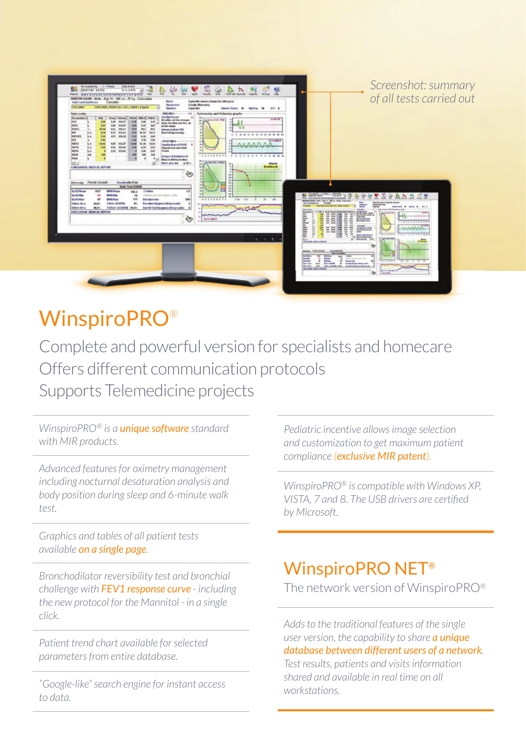| <b>MATRICKE BUY ALL TO IN THE CALIFORNIA</b><br>Tabar as great<br>$\bullet$<br><b>Baseline Dyspona (Bray scale)</b><br><b>ESSAY SELL</b><br>24.9%<br><b>COULD MATCHES</b><br>ᄠ<br><b>DEALERS AND ABLOW (MMC-Plant)</b><br><b>Die Straus</b><br><b>Carl Car</b><br><b>Section Ave.</b> In<br><b>CALL IN</b><br><b>BOX 15</b><br>TSNe-SHEPH SLC-<br>nou<br><b>Stevens</b><br>$30.3\%$<br>East Of Text Dynamics (Bong scale)<br><b>HEART</b><br><b>ALC</b><br>CONCLUSION INCOCAL REPORT<br>ERE or."<br>Ave. Most read and most a<br>≖<br>н<br>▦<br>EZESE<br>streter<br>abhatara<br><b>Scalendar and color</b><br>in the father.<br>শু<br>Galler Sprint<br>E<br><b>Minach America</b><br>E.<br><b>Build Water</b><br>. <i>.</i><br>ë<br>$\overline{1}$<br><b>PURTURES</b><br>H<br>Ħ<br>н<br>罡<br>蓝<br><b>ANAAAA</b><br><b><i><u>Addressed</u></i></b><br>Ξ<br>A4<br>14<br>ina.<br><b>SAN</b><br><b>TESTING CASSASSERS</b><br>$\rightarrow$<br><b>The Media</b><br>$9 - 9 - 8$<br>ы<br>presente Ario<br><b>HELMAN MOLA RIVAL</b><br><b>Charles</b><br>÷ | Dute of lath<br>82<br>œ<br>÷,<br>\$16-5975<br><b>MARTINE BAPID</b><br>≖<br><b>PME</b><br>Her.<br>Matt<br>Spot!<br>FOOT ASCOTTSETTECHNORSTUVWEFZ<br>NMETHI BAWD - Male - Age 31 - 190 cm - 76 kg - Cancesian<br><b>Finden</b><br>7-39 2063<br><b>Visit Card Valid From</b><br>Syriadians<br>7:24 2440<br>38WC.DRE ( POST-CH ) 1 VC ( 1 MW) 1 Sp 02<br>$\vert$<br><b>Cisawine</b><br><b>Sporthum</b><br>Splenmeley<br><b>PRE 2010</b><br><b>Quality Report</b><br>Paumeters<br><b>PPU</b><br><b>President Parents</b><br>PREMI PRENT PRENT<br>the ather out for a longer<br><b>Fuc</b><br>5.418<br>5.41<br>1014,877<br>5.48<br>Lat<br>L.m.<br>lime, fire affected ALL and<br><b>ADVE</b><br>5.87<br>5.82<br>449<br>653,59<br><b>SAN</b><br>4.81<br>in the length<br><b>FEVY'S</b><br><b>MAJE</b><br>96.51<br>m<br>10.54<br>105.71<br>10.8<br><b>Industrie of Johnson PRIS</b><br><b>PEF</b><br>63.6<br>Harmal Spirameky<br>6.73<br>403,64<br>42.9<br>91.94<br>64.71<br>ii.n.<br>rerozu<br>7.31<br>4.74 655.74<br>4.18<br>3.6<br>1.33<br><b>LE</b><br><b>HO</b><br>3.86<br>3.78<br>3,89<br>2,46<br>146<br>POST BEQ-<br><b>FEF15</b><br>10.83<br>12,431<br>\$1.36<br>SAP<br>19.54<br>3, 4<br>100,57<br>Deadly Report POST<br><b>FEFTA</b><br>3.34<br><b>KAK</b><br>109,48<br>An-<br>3.24<br>6.68<br>KJ1<br><b>Repeat test and start</b><br><b>ASPITE</b><br><b>J.H. KNAK</b><br>144<br>A.<br>MP<br>Testes<br>$\rightarrow$<br>WEER<br>168<br><b>Ind.</b><br><b>KOM</b><br>5.68<br><b>ROW</b><br><b>Drug's: Administered</b><br>FDV4<br>٠<br>Bibonit, McGrachofine.<br><b>ALL</b><br><b>REVISION BALLAST</b><br>CONCLUSION: MEDICIN, REPORT<br>শু<br>Owlessney 7010313:1825<br><b>Databased 2.44</b><br>Walk Test (IAWE)<br>4.5<br>SpO2 Mean<br>94.7<br><b>GPM Hitchen</b><br>di Index<br>987.8<br>Sudd Max<br>15<br><b>SPAINS</b><br>0010 examention lieber (104)<br>78<br>tos<br>87<br>0214 10 av<br><b>KXD</b><br><b>SpO2 Max</b><br><b>Distance (m)</b> | 煰<br>ø<br>옾<br>$\frac{1}{2}$<br><b>Basults</b><br><b>IClast</b> Feb<br>Cigarotte statics, Dosanthic allengents<br><b>Cough Wheeling</b><br>Smide Years 10<br>caybay 18<br>PY 5<br>#1  Spieresstry and Onlinetry graphs<br>Go for VC<br><b>U.L.A.Selvi'VC PRE</b><br>10 10 10<br><b>Go the Bill AV</b><br><b>BSDS&amp;S&amp;TE</b><br><b>FIJI484 FIJHHM</b><br>ANNIVERSE<br><b>Sileand</b><br><b>Boot Benedit</b><br>48<br><b>COL</b><br>dill.<br>$\frac{1}{2}$<br>on)<br>ndi.<br>$\rightarrow$<br><b>BASANSS PS</b><br>10.49<br>n.1<br>$\mathbf{m}$<br><b>SH</b> | Screenshot: summary<br>of all tests carried out<br><b>82 SPRING - 1110 PM</b><br>쓘<br>윤<br>$\overline{v}$<br>핻<br>≊ |
|----------------------------------------------------------------------------------------------------------------------------------------------------------------------------------------------------------------------------------------------------------------------------------------------------------------------------------------------------------------------------------------------------------------------------------------------------------------------------------------------------------------------------------------------------------------------------------------------------------------------------------------------------------------------------------------------------------------------------------------------------------------------------------------------------------------------------------------------------------------------------------------------------------------------------------------------------------------------------------------------------------------------------------------------------|--------------------------------------------------------------------------------------------------------------------------------------------------------------------------------------------------------------------------------------------------------------------------------------------------------------------------------------------------------------------------------------------------------------------------------------------------------------------------------------------------------------------------------------------------------------------------------------------------------------------------------------------------------------------------------------------------------------------------------------------------------------------------------------------------------------------------------------------------------------------------------------------------------------------------------------------------------------------------------------------------------------------------------------------------------------------------------------------------------------------------------------------------------------------------------------------------------------------------------------------------------------------------------------------------------------------------------------------------------------------------------------------------------------------------------------------------------------------------------------------------------------------------------------------------------------------------------------------------------------------------------------------------------------------------------------------------------------------------------------------------------------------------------------------------------------------------------------------------------------------------------------------------------------------------------------------------------|------------------------------------------------------------------------------------------------------------------------------------------------------------------------------------------------------------------------------------------------------------------------------------------------------------------------------------------------------------------------------------------------------------------------------------------------------------------------------------------------------------------------------------------------------------------|---------------------------------------------------------------------------------------------------------------------|
| <b>Business</b><br>wis firm mon<br><b>KATHER</b><br><b>TAX</b><br>3.644<br><b>SAFER AN</b><br><b>Milledge</b><br><b>MEN</b>                                                                                                                                                                                                                                                                                                                                                                                                                                                                                                                                                                                                                                                                                                                                                                                                                                                                                                                        |                                                                                                                                                                                                                                                                                                                                                                                                                                                                                                                                                                                                                                                                                                                                                                                                                                                                                                                                                                                                                                                                                                                                                                                                                                                                                                                                                                                                                                                                                                                                                                                                                                                                                                                                                                                                                                                                                                                                                        |                                                                                                                                                                                                                                                                                                                                                                                                                                                                                                                                                                  |                                                                                                                     |

# **WinspiroPRO®**

Complete and powerful version for specialists and homecare Offers different communication protocols Supports Telemedicine projects

*WinspiroPRO® is a unique software standard with MIR products.*

*Advanced features for oximetry management including nocturnal desaturation analysis and body position during sleep and 6-minute walk test.*

*Graphics and tables of all patient tests available on a single page.*

*Bronchodilator reversibility test and bronchial challenge with FEV1 response curve - including the new protocol for the Mannitol - in a single click.*

*Patient trend chart available for selected parameters from entire database.*

*"Google-like" search engine for instant access to data.*

*Pediatric incentive allows image selection and customization to get maximum patient compliance (exclusive MIR patent).*

*WinspiroPRO® is compatible with Windows XP, VISTA, 7 and 8. The USB drivers are certified by Microsoft.*

## WinspiroPRO NET®

The network version of WinspiroPRO*®*

*Adds to the traditional features of the single user version, the capability to share a unique database between different users of a network. Test results, patients and visits information shared and available in real time on all workstations.*